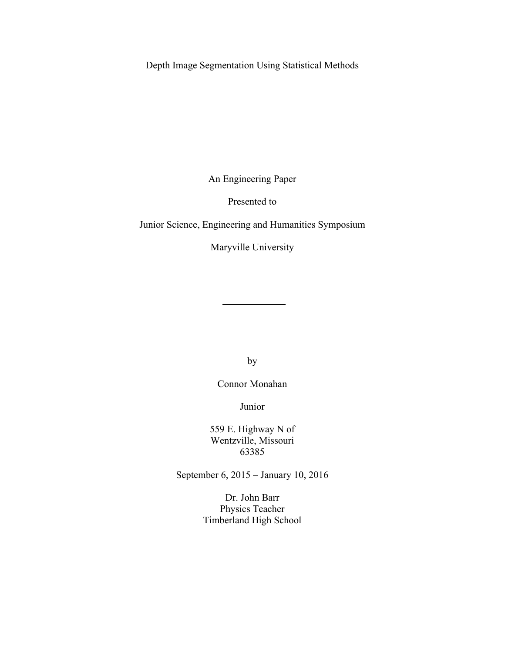Depth Image Segmentation Using Statistical Methods

An Engineering Paper

Presented to

Junior Science, Engineering and Humanities Symposium

Maryville University

by

Connor Monahan

Junior

559 E. Highway N of Wentzville, Missouri 63385

September 6, 2015 – January 10, 2016

Dr. John Barr Physics Teacher Timberland High School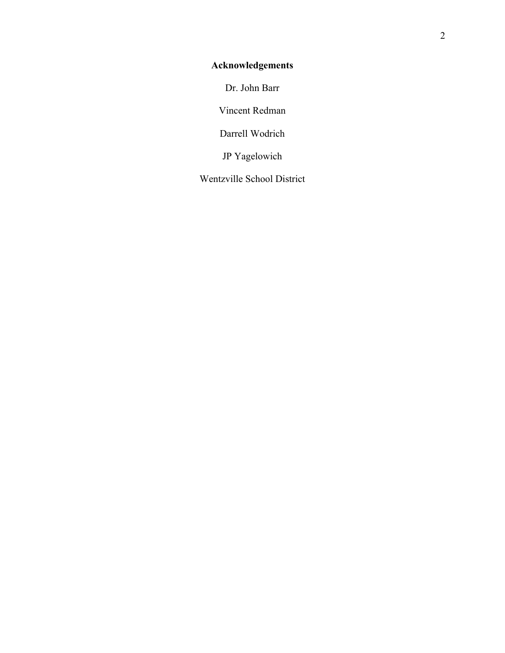# **Acknowledgements**

Dr. John Barr

Vincent Redman

Darrell Wodrich

JP Yagelowich

Wentzville School District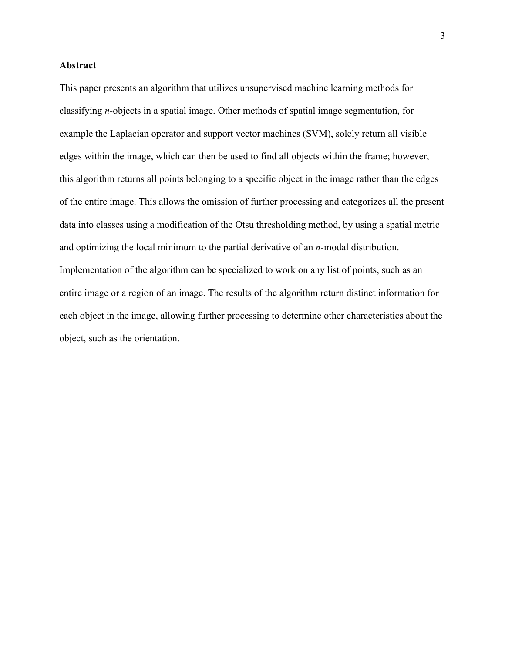## **Abstract**

This paper presents an algorithm that utilizes unsupervised machine learning methods for classifying *n-*objects in a spatial image. Other methods of spatial image segmentation, for example the Laplacian operator and support vector machines (SVM), solely return all visible edges within the image, which can then be used to find all objects within the frame; however, this algorithm returns all points belonging to a specific object in the image rather than the edges of the entire image. This allows the omission of further processing and categorizes all the present data into classes using a modification of the Otsu thresholding method, by using a spatial metric and optimizing the local minimum to the partial derivative of an *n-*modal distribution. Implementation of the algorithm can be specialized to work on any list of points, such as an entire image or a region of an image. The results of the algorithm return distinct information for each object in the image, allowing further processing to determine other characteristics about the object, such as the orientation.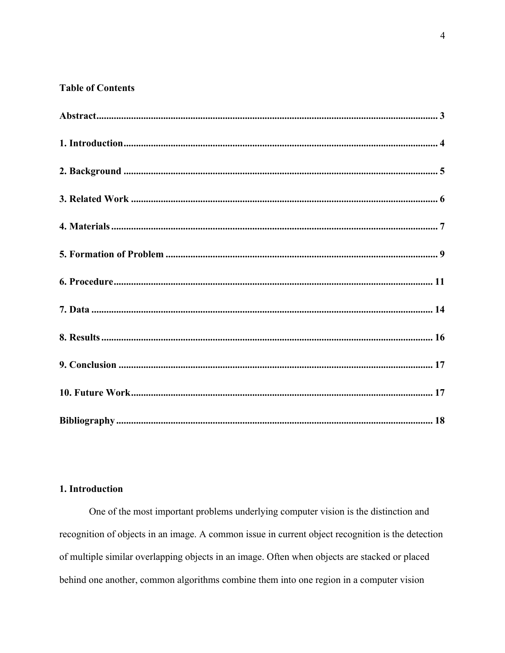# **Table of Contents**

## 1. Introduction

One of the most important problems underlying computer vision is the distinction and recognition of objects in an image. A common issue in current object recognition is the detection of multiple similar overlapping objects in an image. Often when objects are stacked or placed behind one another, common algorithms combine them into one region in a computer vision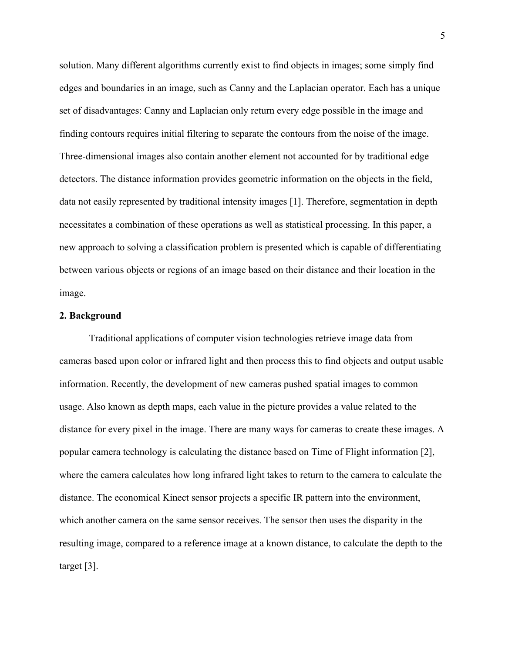solution. Many different algorithms currently exist to find objects in images; some simply find edges and boundaries in an image, such as Canny and the Laplacian operator. Each has a unique set of disadvantages: Canny and Laplacian only return every edge possible in the image and finding contours requires initial filtering to separate the contours from the noise of the image. Three-dimensional images also contain another element not accounted for by traditional edge detectors. The distance information provides geometric information on the objects in the field, data not easily represented by traditional intensity images [1]. Therefore, segmentation in depth necessitates a combination of these operations as well as statistical processing. In this paper, a new approach to solving a classification problem is presented which is capable of differentiating between various objects or regions of an image based on their distance and their location in the image.

## **2. Background**

Traditional applications of computer vision technologies retrieve image data from cameras based upon color or infrared light and then process this to find objects and output usable information. Recently, the development of new cameras pushed spatial images to common usage. Also known as depth maps, each value in the picture provides a value related to the distance for every pixel in the image. There are many ways for cameras to create these images. A popular camera technology is calculating the distance based on Time of Flight information [2], where the camera calculates how long infrared light takes to return to the camera to calculate the distance. The economical Kinect sensor projects a specific IR pattern into the environment, which another camera on the same sensor receives. The sensor then uses the disparity in the resulting image, compared to a reference image at a known distance, to calculate the depth to the target [3].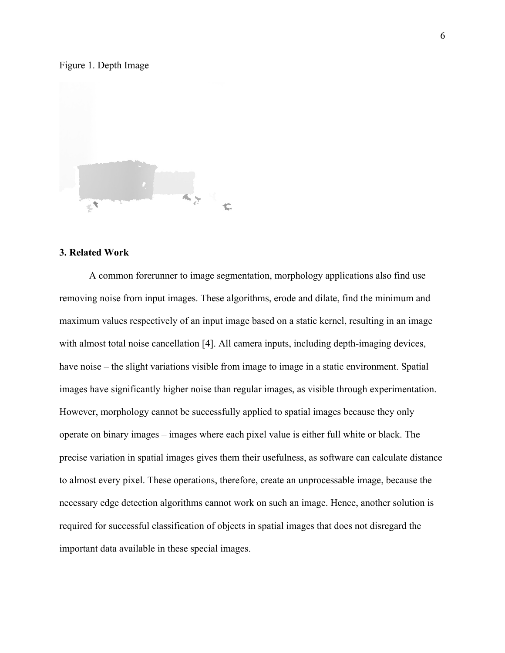#### Figure 1. Depth Image



#### **3. Related Work**

A common forerunner to image segmentation, morphology applications also find use removing noise from input images. These algorithms, erode and dilate, find the minimum and maximum values respectively of an input image based on a static kernel, resulting in an image with almost total noise cancellation [4]. All camera inputs, including depth-imaging devices, have noise – the slight variations visible from image to image in a static environment. Spatial images have significantly higher noise than regular images, as visible through experimentation. However, morphology cannot be successfully applied to spatial images because they only operate on binary images – images where each pixel value is either full white or black. The precise variation in spatial images gives them their usefulness, as software can calculate distance to almost every pixel. These operations, therefore, create an unprocessable image, because the necessary edge detection algorithms cannot work on such an image. Hence, another solution is required for successful classification of objects in spatial images that does not disregard the important data available in these special images.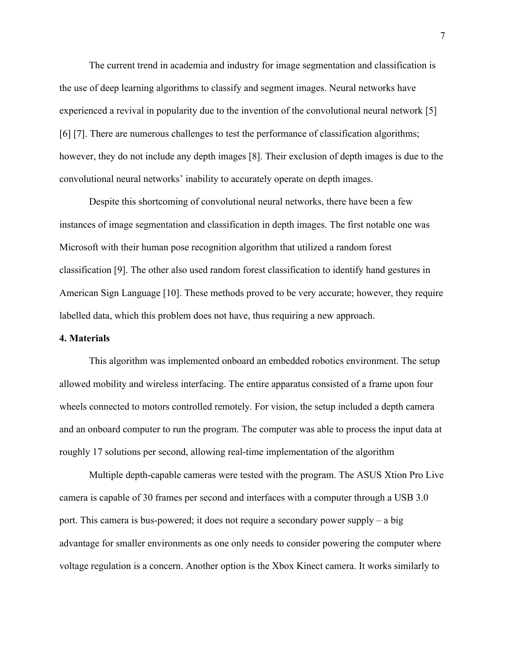The current trend in academia and industry for image segmentation and classification is the use of deep learning algorithms to classify and segment images. Neural networks have experienced a revival in popularity due to the invention of the convolutional neural network [5] [6] [7]. There are numerous challenges to test the performance of classification algorithms; however, they do not include any depth images [8]. Their exclusion of depth images is due to the convolutional neural networks' inability to accurately operate on depth images.

Despite this shortcoming of convolutional neural networks, there have been a few instances of image segmentation and classification in depth images. The first notable one was Microsoft with their human pose recognition algorithm that utilized a random forest classification [9]. The other also used random forest classification to identify hand gestures in American Sign Language [10]. These methods proved to be very accurate; however, they require labelled data, which this problem does not have, thus requiring a new approach.

#### **4. Materials**

This algorithm was implemented onboard an embedded robotics environment. The setup allowed mobility and wireless interfacing. The entire apparatus consisted of a frame upon four wheels connected to motors controlled remotely. For vision, the setup included a depth camera and an onboard computer to run the program. The computer was able to process the input data at roughly 17 solutions per second, allowing real-time implementation of the algorithm

Multiple depth-capable cameras were tested with the program. The ASUS Xtion Pro Live camera is capable of 30 frames per second and interfaces with a computer through a USB 3.0 port. This camera is bus-powered; it does not require a secondary power supply – a big advantage for smaller environments as one only needs to consider powering the computer where voltage regulation is a concern. Another option is the Xbox Kinect camera. It works similarly to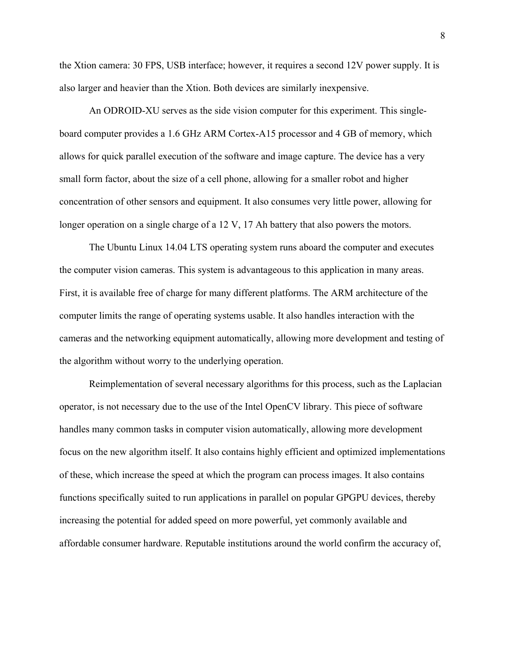the Xtion camera: 30 FPS, USB interface; however, it requires a second 12V power supply. It is also larger and heavier than the Xtion. Both devices are similarly inexpensive.

An ODROID-XU serves as the side vision computer for this experiment. This singleboard computer provides a 1.6 GHz ARM Cortex-A15 processor and 4 GB of memory, which allows for quick parallel execution of the software and image capture. The device has a very small form factor, about the size of a cell phone, allowing for a smaller robot and higher concentration of other sensors and equipment. It also consumes very little power, allowing for longer operation on a single charge of a 12 V, 17 Ah battery that also powers the motors.

The Ubuntu Linux 14.04 LTS operating system runs aboard the computer and executes the computer vision cameras. This system is advantageous to this application in many areas. First, it is available free of charge for many different platforms. The ARM architecture of the computer limits the range of operating systems usable. It also handles interaction with the cameras and the networking equipment automatically, allowing more development and testing of the algorithm without worry to the underlying operation.

Reimplementation of several necessary algorithms for this process, such as the Laplacian operator, is not necessary due to the use of the Intel OpenCV library. This piece of software handles many common tasks in computer vision automatically, allowing more development focus on the new algorithm itself. It also contains highly efficient and optimized implementations of these, which increase the speed at which the program can process images. It also contains functions specifically suited to run applications in parallel on popular GPGPU devices, thereby increasing the potential for added speed on more powerful, yet commonly available and affordable consumer hardware. Reputable institutions around the world confirm the accuracy of,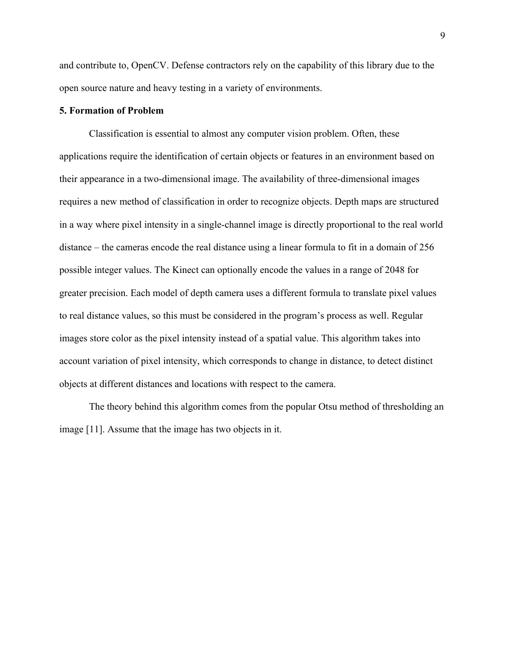and contribute to, OpenCV. Defense contractors rely on the capability of this library due to the open source nature and heavy testing in a variety of environments.

## **5. Formation of Problem**

Classification is essential to almost any computer vision problem. Often, these applications require the identification of certain objects or features in an environment based on their appearance in a two-dimensional image. The availability of three-dimensional images requires a new method of classification in order to recognize objects. Depth maps are structured in a way where pixel intensity in a single-channel image is directly proportional to the real world distance – the cameras encode the real distance using a linear formula to fit in a domain of 256 possible integer values. The Kinect can optionally encode the values in a range of 2048 for greater precision. Each model of depth camera uses a different formula to translate pixel values to real distance values, so this must be considered in the program's process as well. Regular images store color as the pixel intensity instead of a spatial value. This algorithm takes into account variation of pixel intensity, which corresponds to change in distance, to detect distinct objects at different distances and locations with respect to the camera.

The theory behind this algorithm comes from the popular Otsu method of thresholding an image [11]. Assume that the image has two objects in it.

9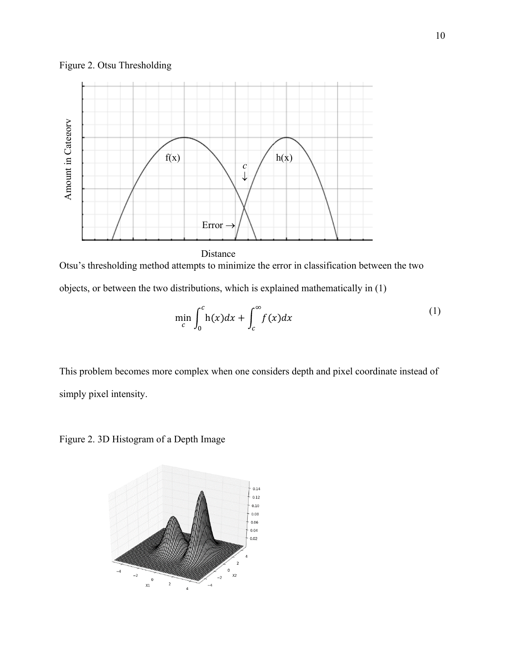



Otsu's thresholding method attempts to minimize the error in classification between the two objects, or between the two distributions, which is explained mathematically in (1)

$$
\min_{c} \int_{0}^{c} h(x)dx + \int_{c}^{\infty} f(x)dx
$$
 (1)

This problem becomes more complex when one considers depth and pixel coordinate instead of simply pixel intensity.

Figure 2. 3D Histogram of a Depth Image

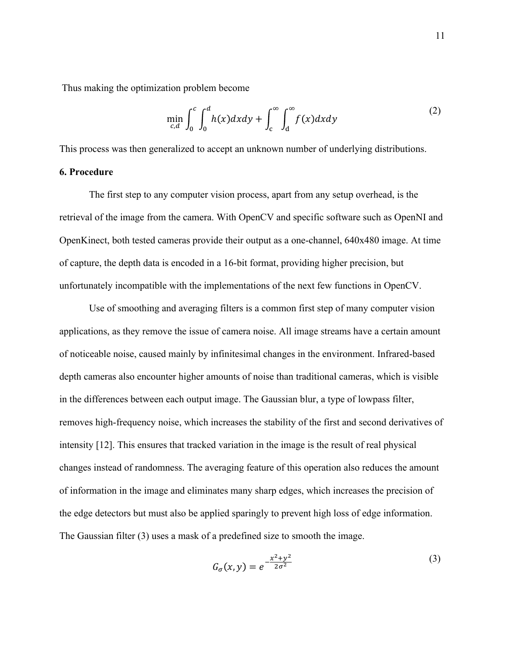Thus making the optimization problem become

$$
\min_{c,d} \int_0^c \int_0^d h(x) dx dy + \int_c^\infty \int_d^\infty f(x) dx dy \tag{2}
$$

This process was then generalized to accept an unknown number of underlying distributions.

## **6. Procedure**

The first step to any computer vision process, apart from any setup overhead, is the retrieval of the image from the camera. With OpenCV and specific software such as OpenNI and OpenKinect, both tested cameras provide their output as a one-channel, 640x480 image. At time of capture, the depth data is encoded in a 16-bit format, providing higher precision, but unfortunately incompatible with the implementations of the next few functions in OpenCV.

Use of smoothing and averaging filters is a common first step of many computer vision applications, as they remove the issue of camera noise. All image streams have a certain amount of noticeable noise, caused mainly by infinitesimal changes in the environment. Infrared-based depth cameras also encounter higher amounts of noise than traditional cameras, which is visible in the differences between each output image. The Gaussian blur, a type of lowpass filter, removes high-frequency noise, which increases the stability of the first and second derivatives of intensity [12]. This ensures that tracked variation in the image is the result of real physical changes instead of randomness. The averaging feature of this operation also reduces the amount of information in the image and eliminates many sharp edges, which increases the precision of the edge detectors but must also be applied sparingly to prevent high loss of edge information. The Gaussian filter (3) uses a mask of a predefined size to smooth the image.

$$
G_{\sigma}(x, y) = e^{-\frac{x^2 + y^2}{2\sigma^2}}
$$
 (3)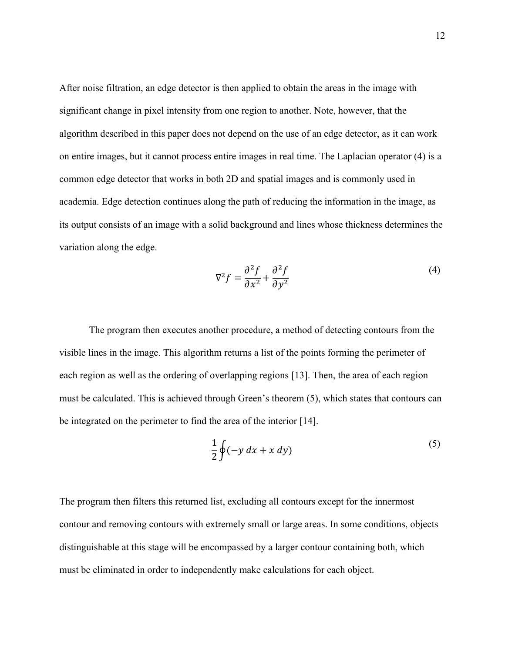After noise filtration, an edge detector is then applied to obtain the areas in the image with significant change in pixel intensity from one region to another. Note, however, that the algorithm described in this paper does not depend on the use of an edge detector, as it can work on entire images, but it cannot process entire images in real time. The Laplacian operator (4) is a common edge detector that works in both 2D and spatial images and is commonly used in academia. Edge detection continues along the path of reducing the information in the image, as its output consists of an image with a solid background and lines whose thickness determines the variation along the edge.

$$
\nabla^2 f = \frac{\partial^2 f}{\partial x^2} + \frac{\partial^2 f}{\partial y^2}
$$
 (4)

The program then executes another procedure, a method of detecting contours from the visible lines in the image. This algorithm returns a list of the points forming the perimeter of each region as well as the ordering of overlapping regions [13]. Then, the area of each region must be calculated. This is achieved through Green's theorem (5), which states that contours can be integrated on the perimeter to find the area of the interior [14].

$$
\frac{1}{2}\oint(-y\,dx + x\,dy)\tag{5}
$$

The program then filters this returned list, excluding all contours except for the innermost contour and removing contours with extremely small or large areas. In some conditions, objects distinguishable at this stage will be encompassed by a larger contour containing both, which must be eliminated in order to independently make calculations for each object.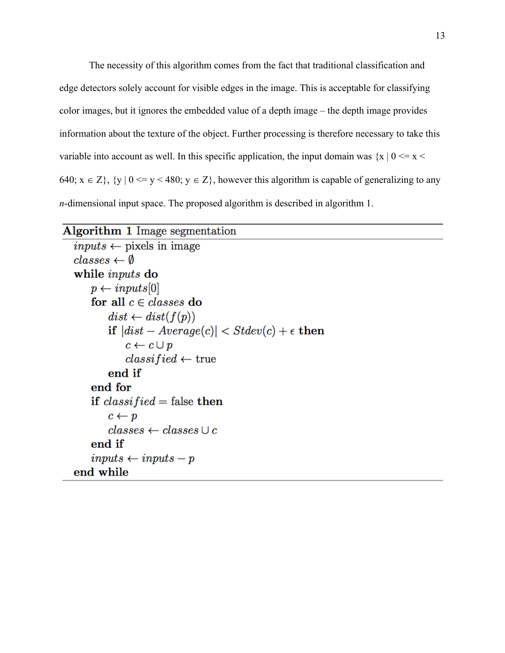The necessity of this algorithm comes from the fact that traditional classification and edge detectors solely account for visible edges in the image. This is acceptable for classifying color images, but it ignores the embedded value of a depth image – the depth image provides information about the texture of the object. Further processing is therefore necessary to take this variable into account as well. In this specific application, the input domain was  $\{x \mid 0 \le x \le x\}$ 640;  $x \in Z$ ,  $\{y | 0 \le y \le 480$ ;  $y \in Z$ , however this algorithm is capable of generalizing to any *n*-dimensional input space. The proposed algorithm is described in algorithm 1.

```
Algorithm 1 Image segmentation
inputs \leftarrow pixels \text{ in image}classes \leftarrow \emptysetwhile inputs do
     p \leftarrow inputs[0]for all c \in classes do
         dist \leftarrow dist(f(p))if |dist - Average(c)| < Stdev(c) + \epsilon then
              c \leftarrow c \cup pclassified \leftarrow \text{true}end if
     end for
     if classified = false then
         c \leftarrow pclasses \leftarrow classes \cup cend if
     inputs \leftarrow inputs - pend while
```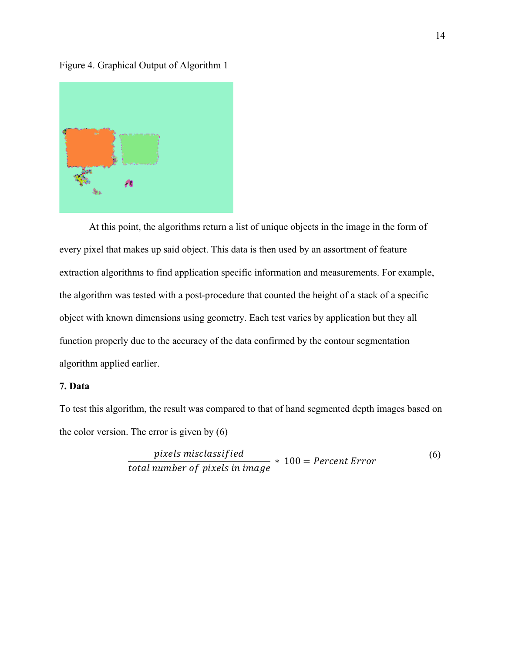Figure 4. Graphical Output of Algorithm 1



At this point, the algorithms return a list of unique objects in the image in the form of every pixel that makes up said object. This data is then used by an assortment of feature extraction algorithms to find application specific information and measurements. For example, the algorithm was tested with a post-procedure that counted the height of a stack of a specific object with known dimensions using geometry. Each test varies by application but they all function properly due to the accuracy of the data confirmed by the contour segmentation algorithm applied earlier.

## **7. Data**

To test this algorithm, the result was compared to that of hand segmented depth images based on the color version. The error is given by (6)

$$
pixels\ misclassified
$$
\n
$$
total\ number\ of\ pixels\ in\ image * 100 = Percent\ Error
$$
\n(6)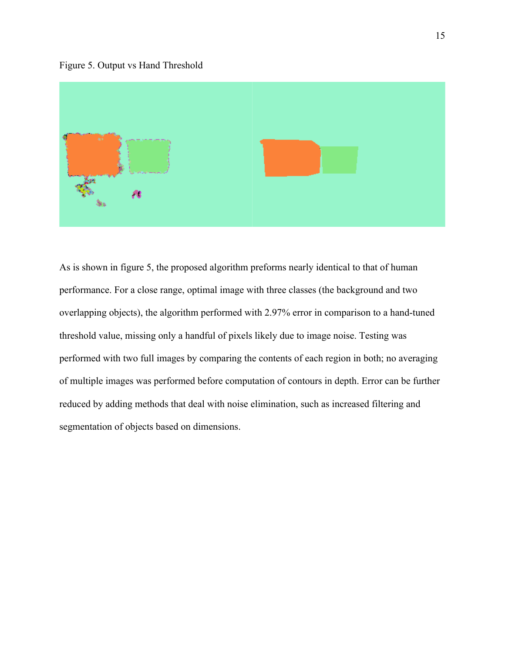



As is shown in figure 5, the proposed algorithm preforms nearly identical to that of human performance. For a close range, optimal image with three classes (the background and two overlapping objects), the algorithm performed with 2.97% error in comparison to a hand-tuned threshold value, missing only a handful of pixels likely due to image noise. Testing was performed with two full images by comparing the contents of each region in both; no averaging of multiple images was performed before computation of contours in depth. Error can be further reduced by adding methods that deal with noise elimination, such as increased filtering and segmentation of objects based on dimensions.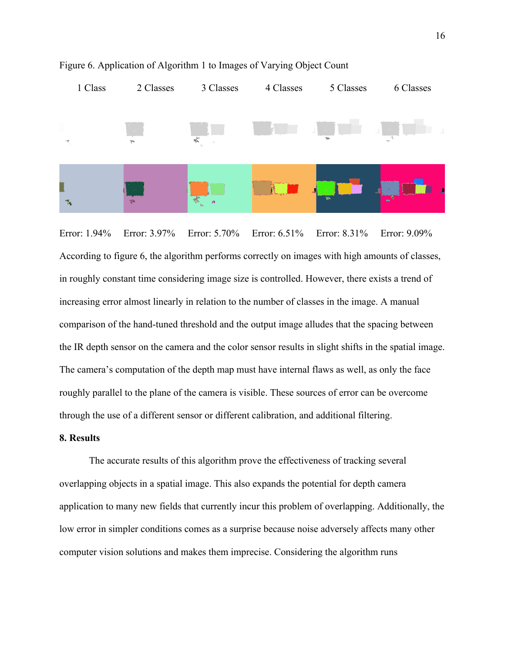

Figure 6. Application of Algorithm 1 to Images of Varying Object Count

Error: 1.94% Error: 3.97% Error: 5.70% Error: 6.51% Error: 8.31% Error: 9.09% According to figure 6, the algorithm performs correctly on images with high amounts of classes, in roughly constant time considering image size is controlled. However, there exists a trend of increasing error almost linearly in relation to the number of classes in the image. A manual comparison of the hand-tuned threshold and the output image alludes that the spacing between the IR depth sensor on the camera and the color sensor results in slight shifts in the spatial image. The camera's computation of the depth map must have internal flaws as well, as only the face roughly parallel to the plane of the camera is visible. These sources of error can be overcome through the use of a different sensor or different calibration, and additional filtering.

## **8. Results**

The accurate results of this algorithm prove the effectiveness of tracking several overlapping objects in a spatial image. This also expands the potential for depth camera application to many new fields that currently incur this problem of overlapping. Additionally, the low error in simpler conditions comes as a surprise because noise adversely affects many other computer vision solutions and makes them imprecise. Considering the algorithm runs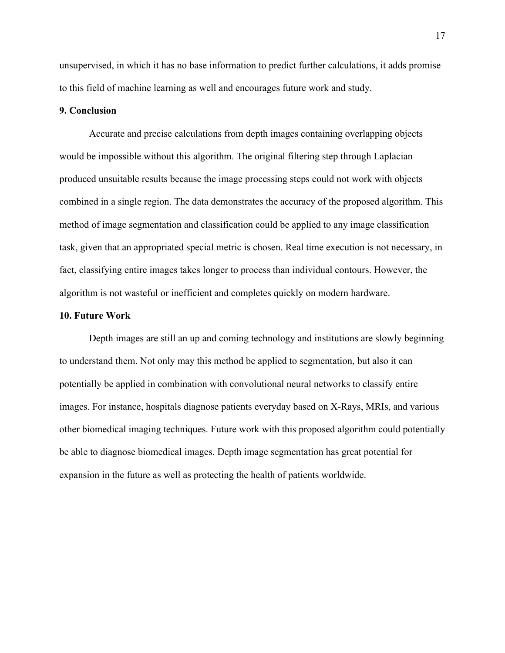unsupervised, in which it has no base information to predict further calculations, it adds promise to this field of machine learning as well and encourages future work and study.

## **9. Conclusion**

Accurate and precise calculations from depth images containing overlapping objects would be impossible without this algorithm. The original filtering step through Laplacian produced unsuitable results because the image processing steps could not work with objects combined in a single region. The data demonstrates the accuracy of the proposed algorithm. This method of image segmentation and classification could be applied to any image classification task, given that an appropriated special metric is chosen. Real time execution is not necessary, in fact, classifying entire images takes longer to process than individual contours. However, the algorithm is not wasteful or inefficient and completes quickly on modern hardware.

#### **10. Future Work**

Depth images are still an up and coming technology and institutions are slowly beginning to understand them. Not only may this method be applied to segmentation, but also it can potentially be applied in combination with convolutional neural networks to classify entire images. For instance, hospitals diagnose patients everyday based on X-Rays, MRIs, and various other biomedical imaging techniques. Future work with this proposed algorithm could potentially be able to diagnose biomedical images. Depth image segmentation has great potential for expansion in the future as well as protecting the health of patients worldwide.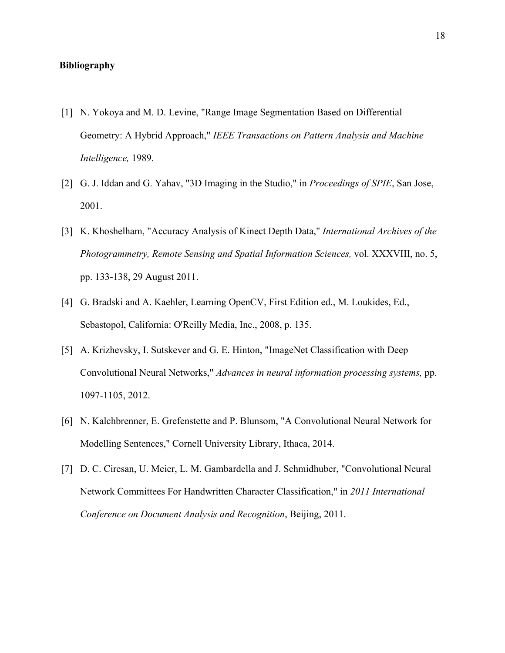## **Bibliography**

- [1] N. Yokoya and M. D. Levine, "Range Image Segmentation Based on Differential Geometry: A Hybrid Approach," *IEEE Transactions on Pattern Analysis and Machine Intelligence,* 1989.
- [2] G. J. Iddan and G. Yahav, "3D Imaging in the Studio," in *Proceedings of SPIE*, San Jose, 2001.
- [3] K. Khoshelham, "Accuracy Analysis of Kinect Depth Data," *International Archives of the Photogrammetry, Remote Sensing and Spatial Information Sciences,* vol. XXXVIII, no. 5, pp. 133-138, 29 August 2011.
- [4] G. Bradski and A. Kaehler, Learning OpenCV, First Edition ed., M. Loukides, Ed., Sebastopol, California: O'Reilly Media, Inc., 2008, p. 135.
- [5] A. Krizhevsky, I. Sutskever and G. E. Hinton, "ImageNet Classification with Deep Convolutional Neural Networks," *Advances in neural information processing systems,* pp. 1097-1105, 2012.
- [6] N. Kalchbrenner, E. Grefenstette and P. Blunsom, "A Convolutional Neural Network for Modelling Sentences," Cornell University Library, Ithaca, 2014.
- [7] D. C. Ciresan, U. Meier, L. M. Gambardella and J. Schmidhuber, "Convolutional Neural Network Committees For Handwritten Character Classification," in *2011 International Conference on Document Analysis and Recognition*, Beijing, 2011.